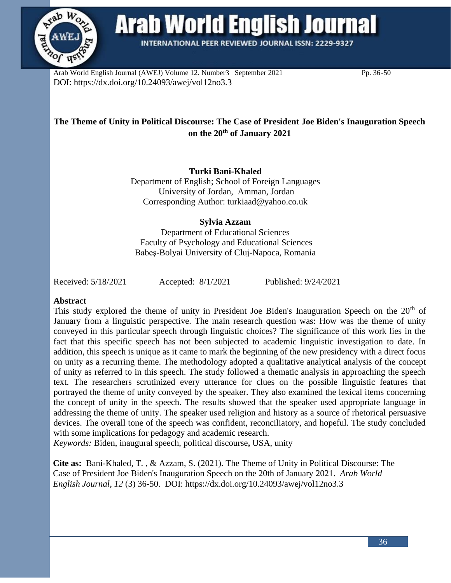

**Arab World English Journal** 

**INTERNATIONAL PEER REVIEWED JOURNAL ISSN: 2229-9327** 

Arab World English Journal (AWEJ) Volume 12. Number 3September 2021 Pp. 36-50 DOI: https://dx.doi.org/10.24093/awej/vol12no3.3

# **The Theme of Unity in Political Discourse: The Case of President Joe Biden's Inauguration Speech on the 20th of January 2021**

**Turki Bani-Khaled**

Department of English; School of Foreign Languages University of Jordan, Amman, Jordan Corresponding Author: [turkiaad@yahoo.co.uk](mailto:turkiaad@yahoo.co.uk)

# **Sylvia Azzam**

Department of Educational Sciences Faculty of Psychology and Educational Sciences Babeş-Bolyai University of Cluj-Napoca, Romania

Received: 5/18/2021 Accepted: 8/1/2021 Published: 9/24/2021

## **Abstract**

This study explored the theme of unity in President Joe Biden's Inauguration Speech on the  $20<sup>th</sup>$  of January from a linguistic perspective. The main research question was: How was the theme of unity conveyed in this particular speech through linguistic choices? The significance of this work lies in the fact that this specific speech has not been subjected to academic linguistic investigation to date. In addition, this speech is unique as it came to mark the beginning of the new presidency with a direct focus on unity as a recurring theme. The methodology adopted a qualitative analytical analysis of the concept of unity as referred to in this speech. The study followed a thematic analysis in approaching the speech text. The researchers scrutinized every utterance for clues on the possible linguistic features that portrayed the theme of unity conveyed by the speaker. They also examined the lexical items concerning the concept of unity in the speech. The results showed that the speaker used appropriate language in addressing the theme of unity. The speaker used religion and history as a source of rhetorical persuasive devices. The overall tone of the speech was confident, reconciliatory, and hopeful. The study concluded with some implications for pedagogy and academic research.

*Keywords:* Biden, inaugural speech, political discourse**,** USA, unity

**Cite as:** Bani-Khaled, T. , & Azzam, S. (2021). The Theme of Unity in Political Discourse: The Case of President Joe Biden's Inauguration Speech on the 20th of January 2021. *Arab World English Journal, 12* (3) 36-50. DOI: https://dx.doi.org/10.24093/awej/vol12no3.3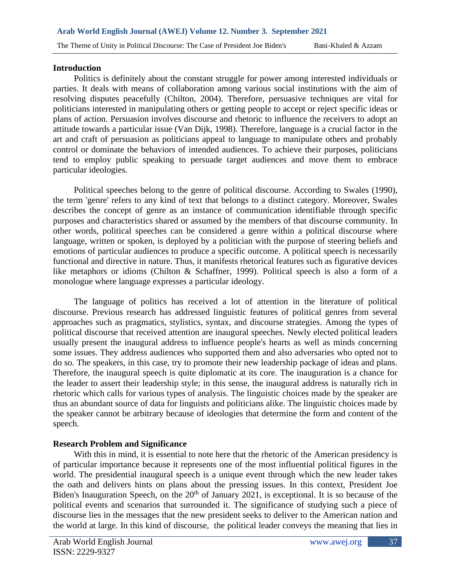#### **Introduction**

Politics is definitely about the constant struggle for power among interested individuals or parties. It deals with means of collaboration among various social institutions with the aim of resolving disputes peacefully (Chilton, 2004). Therefore, persuasive techniques are vital for politicians interested in manipulating others or getting people to accept or reject specific ideas or plans of action. Persuasion involves discourse and rhetoric to influence the receivers to adopt an attitude towards a particular issue (Van Dijk, 1998). Therefore, language is a crucial factor in the art and craft of persuasion as politicians appeal to language to manipulate others and probably control or dominate the behaviors of intended audiences. To achieve their purposes, politicians tend to employ public speaking to persuade target audiences and move them to embrace particular ideologies.

Political speeches belong to the genre of political discourse. According to Swales (1990), the term 'genre' refers to any kind of text that belongs to a distinct category. Moreover, Swales describes the concept of genre as an instance of communication identifiable through specific purposes and characteristics shared or assumed by the members of that discourse community. In other words, political speeches can be considered a genre within a political discourse where language, written or spoken, is deployed by a politician with the purpose of steering beliefs and emotions of particular audiences to produce a specific outcome. A political speech is necessarily functional and directive in nature. Thus, it manifests rhetorical features such as figurative devices like metaphors or idioms (Chilton & Schaffner, 1999). Political speech is also a form of a monologue where language expresses a particular ideology.

The language of politics has received a lot of attention in the literature of political discourse. Previous research has addressed linguistic features of political genres from several approaches such as pragmatics, stylistics, syntax, and discourse strategies. Among the types of political discourse that received attention are inaugural speeches. Newly elected political leaders usually present the inaugural address to influence people's hearts as well as minds concerning some issues. They address audiences who supported them and also adversaries who opted not to do so. The speakers, in this case, try to promote their new leadership package of ideas and plans. Therefore, the inaugural speech is quite diplomatic at its core. The inauguration is a chance for the leader to assert their leadership style; in this sense, the inaugural address is naturally rich in rhetoric which calls for various types of analysis. The linguistic choices made by the speaker are thus an abundant source of data for linguists and politicians alike. The linguistic choices made by the speaker cannot be arbitrary because of ideologies that determine the form and content of the speech.

## **Research Problem and Significance**

With this in mind, it is essential to note here that the rhetoric of the American presidency is of particular importance because it represents one of the most influential political figures in the world. The presidential inaugural speech is a unique event through which the new leader takes the oath and delivers hints on plans about the pressing issues. In this context, President Joe Biden's Inauguration Speech, on the  $20<sup>th</sup>$  of January 2021, is exceptional. It is so because of the political events and scenarios that surrounded it. The significance of studying such a piece of discourse lies in the messages that the new president seeks to deliver to the American nation and the world at large. In this kind of discourse, the political leader conveys the meaning that lies in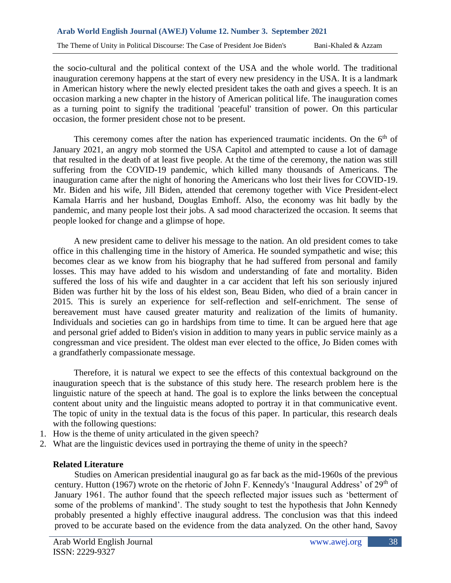the socio-cultural and the political context of the USA and the whole world. The traditional inauguration ceremony happens at the start of every new presidency in the USA. It is a landmark in American history where the newly elected president takes the oath and gives a speech. It is an occasion marking a new chapter in the history of American political life. The inauguration comes as a turning point to signify the traditional 'peaceful' transition of power. On this particular occasion, the former president chose not to be present.

This ceremony comes after the nation has experienced traumatic incidents. On the  $6<sup>th</sup>$  of January 2021, an angry mob stormed the USA Capitol and attempted to cause a lot of damage that resulted in the death of at least five people. At the time of the ceremony, the nation was still suffering from the COVID-19 pandemic, which killed many thousands of Americans. The inauguration came after the night of honoring the Americans who lost their lives for COVID-19. Mr. Biden and his wife, Jill Biden, attended that ceremony together with Vice President-elect Kamala Harris and her husband, Douglas Emhoff. Also, the economy was hit badly by the pandemic, and many people lost their jobs. A sad mood characterized the occasion. It seems that people looked for change and a glimpse of hope.

A new president came to deliver his message to the nation. An old president comes to take office in this challenging time in the history of America. He sounded sympathetic and wise; this becomes clear as we know from his biography that he had suffered from personal and family losses. This may have added to his wisdom and understanding of fate and mortality. Biden suffered the loss of his wife and daughter in a car accident that left his son seriously injured Biden was further hit by the loss of his eldest son, Beau Biden, who died of a brain cancer in 2015. This is surely an experience for self-reflection and self-enrichment. The sense of bereavement must have caused greater maturity and realization of the limits of humanity. Individuals and societies can go in hardships from time to time. It can be argued here that age and personal grief added to Biden's vision in addition to many years in public service mainly as a congressman and vice president. The oldest man ever elected to the office, Jo Biden comes with a grandfatherly compassionate message.

Therefore, it is natural we expect to see the effects of this contextual background on the inauguration speech that is the substance of this study here. The research problem here is the linguistic nature of the speech at hand. The goal is to explore the links between the conceptual content about unity and the linguistic means adopted to portray it in that communicative event. The topic of unity in the textual data is the focus of this paper. In particular, this research deals with the following questions:

- 1. How is the theme of unity articulated in the given speech?
- 2. What are the linguistic devices used in portraying the theme of unity in the speech?

## **Related Literature**

Studies on American presidential inaugural go as far back as the mid-1960s of the previous century. Hutton (1967) wrote on the rhetoric of John F. Kennedy's 'Inaugural Address' of 29<sup>th</sup> of January 1961. The author found that the speech reflected major issues such as 'betterment of some of the problems of mankind'. The study sought to test the hypothesis that John Kennedy probably presented a highly effective inaugural address. The conclusion was that this indeed proved to be accurate based on the evidence from the data analyzed. On the other hand, Savoy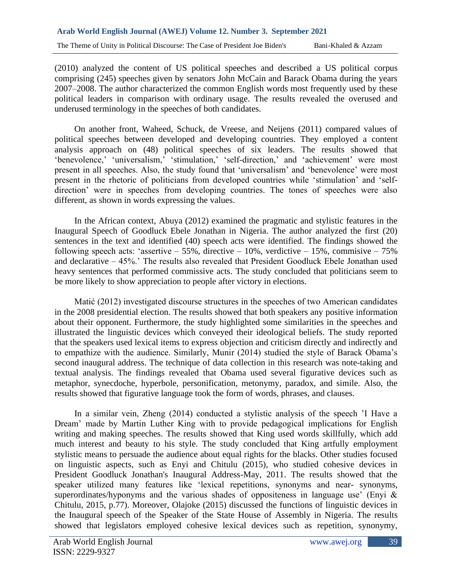(2010) analyzed the content of US political speeches and described a US political corpus comprising (245) speeches given by senators John McCain and Barack Obama during the years 2007–2008. The author characterized the common English words most frequently used by these political leaders in comparison with ordinary usage. The results revealed the overused and underused terminology in the speeches of both candidates.

On another front, Waheed, Schuck, de Vreese, and Neijens (2011) compared values of political speeches between developed and developing countries. They employed a content analysis approach on (48) political speeches of six leaders. The results showed that 'benevolence,' 'universalism,' 'stimulation,' 'self-direction,' and 'achievement' were most present in all speeches. Also, the study found that 'universalism' and 'benevolence' were most present in the rhetoric of politicians from developed countries while 'stimulation' and 'selfdirection' were in speeches from developing countries. The tones of speeches were also different, as shown in words expressing the values.

In the African context, Abuya (2012) examined the pragmatic and stylistic features in the Inaugural Speech of Goodluck Ebele Jonathan in Nigeria. The author analyzed the first (20) sentences in the text and identified (40) speech acts were identified. The findings showed the following speech acts: 'assertive – 55%, directive – 10%, verdictive – 15%, commisive – 75% and declarative – 45%.' The results also revealed that President Goodluck Ebele Jonathan used heavy sentences that performed commissive acts. The study concluded that politicians seem to be more likely to show appreciation to people after victory in elections.

Matić (2012) investigated discourse structures in the speeches of two American candidates in the 2008 presidential election. The results showed that both speakers any positive information about their opponent. Furthermore, the study highlighted some similarities in the speeches and illustrated the linguistic devices which conveyed their ideological beliefs. The study reported that the speakers used lexical items to express objection and criticism directly and indirectly and to empathize with the audience. Similarly, Munir (2014) studied the style of Barack Obama's second inaugural address. The technique of data collection in this research was note-taking and textual analysis. The findings revealed that Obama used several figurative devices such as metaphor, synecdoche, hyperbole, personification, metonymy, paradox, and simile. Also, the results showed that figurative language took the form of words, phrases, and clauses.

In a similar vein, Zheng (2014) conducted a stylistic analysis of the speech 'I Have a Dream' made by Martin Luther King with to provide pedagogical implications for English writing and making speeches. The results showed that King used words skillfully, which add much interest and beauty to his style. The study concluded that King artfully employment stylistic means to persuade the audience about equal rights for the blacks. Other studies focused on linguistic aspects, such as Enyi and Chitulu (2015), who studied cohesive devices in President Goodluck Jonathan's Inaugural Address-May, 2011. The results showed that the speaker utilized many features like 'lexical repetitions, synonyms and near- synonyms, superordinates/hyponyms and the various shades of oppositeness in language use' (Enyi & Chitulu, 2015, p.77). Moreover, Olajoke (2015) discussed the functions of linguistic devices in the Inaugural speech of the Speaker of the State House of Assembly in Nigeria. The results showed that legislators employed cohesive lexical devices such as repetition, synonymy,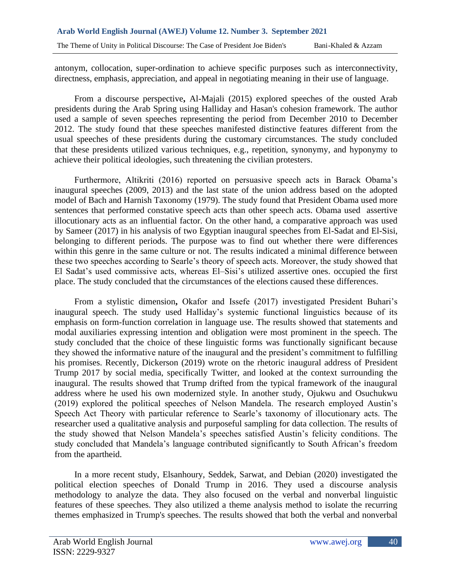antonym, collocation, super-ordination to achieve specific purposes such as interconnectivity, directness, emphasis, appreciation, and appeal in negotiating meaning in their use of language.

From a discourse perspective**,** Al-Majali (2015) explored speeches of the ousted Arab presidents during the Arab Spring using Halliday and Hasan's cohesion framework. The author used a sample of seven speeches representing the period from December 2010 to December 2012. The study found that these speeches manifested distinctive features different from the usual speeches of these presidents during the customary circumstances. The study concluded that these presidents utilized various techniques, e.g., repetition, synonymy, and hyponymy to achieve their political ideologies, such threatening the civilian protesters.

Furthermore, Altikriti (2016) reported on persuasive speech acts in Barack Obama's inaugural speeches (2009, 2013) and the last state of the union address based on the adopted model of Bach and Harnish Taxonomy (1979). The study found that President Obama used more sentences that performed constative speech acts than other speech acts. Obama used assertive illocutionary acts as an influential factor. On the other hand, a comparative approach was used by Sameer (2017) in his analysis of two Egyptian inaugural speeches from El-Sadat and El-Sisi, belonging to different periods. The purpose was to find out whether there were differences within this genre in the same culture or not. The results indicated a minimal difference between these two speeches according to Searle's theory of speech acts. Moreover, the study showed that El Sadat's used commissive acts, whereas El–Sisi's utilized assertive ones. occupied the first place. The study concluded that the circumstances of the elections caused these differences.

From a stylistic dimension**,** Okafor and Issefe (2017) investigated President Buhari's inaugural speech. The study used Halliday's systemic functional linguistics because of its emphasis on form-function correlation in language use. The results showed that statements and modal auxiliaries expressing intention and obligation were most prominent in the speech. The study concluded that the choice of these linguistic forms was functionally significant because they showed the informative nature of the inaugural and the president's commitment to fulfilling his promises. Recently, Dickerson (2019) wrote on the rhetoric inaugural address of President Trump 2017 by social media, specifically Twitter, and looked at the context surrounding the inaugural. The results showed that Trump drifted from the typical framework of the inaugural address where he used his own modernized style. In another study, Ojukwu and Osuchukwu (2019) explored the political speeches of Nelson Mandela. The research employed Austin's Speech Act Theory with particular reference to Searle's taxonomy of illocutionary acts. The researcher used a qualitative analysis and purposeful sampling for data collection. The results of the study showed that Nelson Mandela's speeches satisfied Austin's felicity conditions. The study concluded that Mandela's language contributed significantly to South African's freedom from the apartheid.

In a more recent study, Elsanhoury, Seddek, Sarwat, and Debian (2020) investigated the political election speeches of Donald Trump in 2016. They used a discourse analysis methodology to analyze the data. They also focused on the verbal and nonverbal linguistic features of these speeches. They also utilized a theme analysis method to isolate the recurring themes emphasized in Trump's speeches. The results showed that both the verbal and nonverbal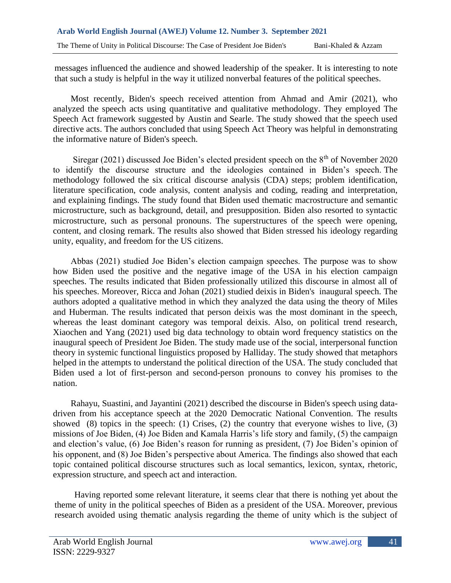messages influenced the audience and showed leadership of the speaker. It is interesting to note that such a study is helpful in the way it utilized nonverbal features of the political speeches.

 Most recently, Biden's speech received attention from Ahmad and Amir (2021), who analyzed the speech acts using quantitative and qualitative methodology. They employed The Speech Act framework suggested by Austin and Searle. The study showed that the speech used directive acts. The authors concluded that using Speech Act Theory was helpful in demonstrating the informative nature of Biden's speech.

Siregar (2021) discussed Joe Biden's elected president speech on the  $8<sup>th</sup>$  of November 2020 to identify the discourse structure and the ideologies contained in Biden's speech. The methodology followed the six critical discourse analysis (CDA) steps; problem identification, literature specification, code analysis, content analysis and coding, reading and interpretation, and explaining findings. The study found that Biden used thematic macrostructure and semantic microstructure, such as background, detail, and presupposition. Biden also resorted to syntactic microstructure, such as personal pronouns. The superstructures of the speech were opening, content, and closing remark. The results also showed that Biden stressed his ideology regarding unity, equality, and freedom for the US citizens.

 Abbas (2021) studied Joe Biden's election campaign speeches. The purpose was to show how Biden used the positive and the negative image of the USA in his election campaign speeches. The results indicated that Biden professionally utilized this discourse in almost all of his speeches. Moreover, Ricca and Johan (2021) studied deixis in Biden's inaugural speech. The authors adopted a qualitative method in which they analyzed the data using the theory of Miles and Huberman. The results indicated that person deixis was the most dominant in the speech, whereas the least dominant category was temporal deixis. Also, on political trend research, Xiaochen and Yang (2021) used big data technology to obtain word frequency statistics on the inaugural speech of President Joe Biden. The study made use of the social, interpersonal function theory in systemic functional linguistics proposed by Halliday. The study showed that metaphors helped in the attempts to understand the political direction of the USA. The study concluded that Biden used a lot of first-person and second-person pronouns to convey his promises to the nation.

 Rahayu, Suastini, and Jayantini (2021) described the discourse in Biden's speech using datadriven from his acceptance speech at the 2020 Democratic National Convention. The results showed  $(8)$  topics in the speech:  $(1)$  Crises,  $(2)$  the country that everyone wishes to live,  $(3)$ missions of Joe Biden, (4) Joe Biden and Kamala Harris's life story and family, (5) the campaign and election's value, (6) Joe Biden's reason for running as president, (7) Joe Biden's opinion of his opponent, and (8) Joe Biden's perspective about America. The findings also showed that each topic contained political discourse structures such as local semantics, lexicon, syntax, rhetoric, expression structure, and speech act and interaction.

Having reported some relevant literature, it seems clear that there is nothing yet about the theme of unity in the political speeches of Biden as a president of the USA. Moreover, previous research avoided using thematic analysis regarding the theme of unity which is the subject of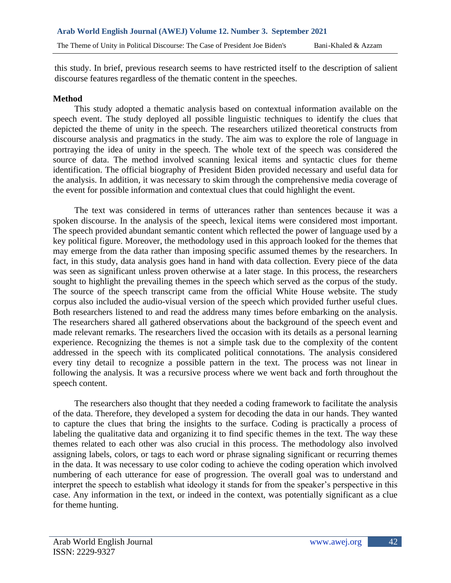this study. In brief, previous research seems to have restricted itself to the description of salient discourse features regardless of the thematic content in the speeches.

## **Method**

This study adopted a thematic analysis based on contextual information available on the speech event. The study deployed all possible linguistic techniques to identify the clues that depicted the theme of unity in the speech. The researchers utilized theoretical constructs from discourse analysis and pragmatics in the study. The aim was to explore the role of language in portraying the idea of unity in the speech. The whole text of the speech was considered the source of data. The method involved scanning lexical items and syntactic clues for theme identification. The official biography of President Biden provided necessary and useful data for the analysis. In addition, it was necessary to skim through the comprehensive media coverage of the event for possible information and contextual clues that could highlight the event.

The text was considered in terms of utterances rather than sentences because it was a spoken discourse. In the analysis of the speech, lexical items were considered most important. The speech provided abundant semantic content which reflected the power of language used by a key political figure. Moreover, the methodology used in this approach looked for the themes that may emerge from the data rather than imposing specific assumed themes by the researchers. In fact, in this study, data analysis goes hand in hand with data collection. Every piece of the data was seen as significant unless proven otherwise at a later stage. In this process, the researchers sought to highlight the prevailing themes in the speech which served as the corpus of the study. The source of the speech transcript came from the official White House website. The study corpus also included the audio-visual version of the speech which provided further useful clues. Both researchers listened to and read the address many times before embarking on the analysis. The researchers shared all gathered observations about the background of the speech event and made relevant remarks. The researchers lived the occasion with its details as a personal learning experience. Recognizing the themes is not a simple task due to the complexity of the content addressed in the speech with its complicated political connotations. The analysis considered every tiny detail to recognize a possible pattern in the text. The process was not linear in following the analysis. It was a recursive process where we went back and forth throughout the speech content.

The researchers also thought that they needed a coding framework to facilitate the analysis of the data. Therefore, they developed a system for decoding the data in our hands. They wanted to capture the clues that bring the insights to the surface. Coding is practically a process of labeling the qualitative data and organizing it to find specific themes in the text. The way these themes related to each other was also crucial in this process. The methodology also involved assigning labels, colors, or tags to each word or phrase signaling significant or recurring themes in the data. It was necessary to use color coding to achieve the coding operation which involved numbering of each utterance for ease of progression. The overall goal was to understand and interpret the speech to establish what ideology it stands for from the speaker's perspective in this case. Any information in the text, or indeed in the context, was potentially significant as a clue for theme hunting.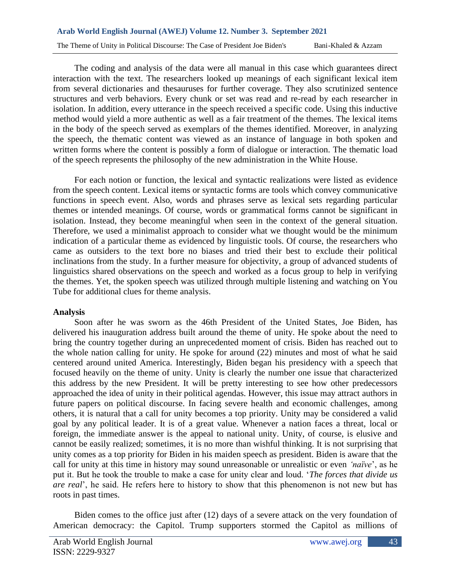The coding and analysis of the data were all manual in this case which guarantees direct interaction with the text. The researchers looked up meanings of each significant lexical item from several dictionaries and thesauruses for further coverage. They also scrutinized sentence structures and verb behaviors. Every chunk or set was read and re-read by each researcher in isolation. In addition, every utterance in the speech received a specific code. Using this inductive method would yield a more authentic as well as a fair treatment of the themes. The lexical items in the body of the speech served as exemplars of the themes identified. Moreover, in analyzing the speech, the thematic content was viewed as an instance of language in both spoken and written forms where the content is possibly a form of dialogue or interaction. The thematic load of the speech represents the philosophy of the new administration in the White House.

For each notion or function, the lexical and syntactic realizations were listed as evidence from the speech content. Lexical items or syntactic forms are tools which convey communicative functions in speech event. Also, words and phrases serve as lexical sets regarding particular themes or intended meanings. Of course, words or grammatical forms cannot be significant in isolation. Instead, they become meaningful when seen in the context of the general situation. Therefore, we used a minimalist approach to consider what we thought would be the minimum indication of a particular theme as evidenced by linguistic tools. Of course, the researchers who came as outsiders to the text bore no biases and tried their best to exclude their political inclinations from the study. In a further measure for objectivity, a group of advanced students of linguistics shared observations on the speech and worked as a focus group to help in verifying the themes. Yet, the spoken speech was utilized through multiple listening and watching on You Tube for additional clues for theme analysis.

## **Analysis**

Soon after he was sworn as the 46th President of the United States, Joe Biden, has delivered his inauguration address built around the theme of unity. He spoke about the need to bring the country together during an unprecedented moment of crisis. Biden has reached out to the whole nation calling for unity. He spoke for around (22) minutes and most of what he said centered around united America. Interestingly, Biden began his presidency with a speech that focused heavily on the theme of unity. Unity is clearly the number one issue that characterized this address by the new President. It will be pretty interesting to see how other predecessors approached the idea of unity in their political agendas. However, this issue may attract authors in future papers on political discourse. In facing severe health and economic challenges, among others, it is natural that a call for unity becomes a top priority. Unity may be considered a valid goal by any political leader. It is of a great value. Whenever a nation faces a threat, local or foreign, the immediate answer is the appeal to national unity. Unity, of course, is elusive and cannot be easily realized; sometimes, it is no more than wishful thinking. It is not surprising that unity comes as a top priority for Biden in his maiden speech as president. Biden is aware that the call for unity at this time in history may sound unreasonable or unrealistic or even *'naïve*', as he put it. But he took the trouble to make a case for unity clear and loud. '*The forces that divide us are real*', he said. He refers here to history to show that this phenomenon is not new but has roots in past times.

Biden comes to the office just after (12) days of a severe attack on the very foundation of American democracy: the Capitol. Trump supporters stormed the Capitol as millions of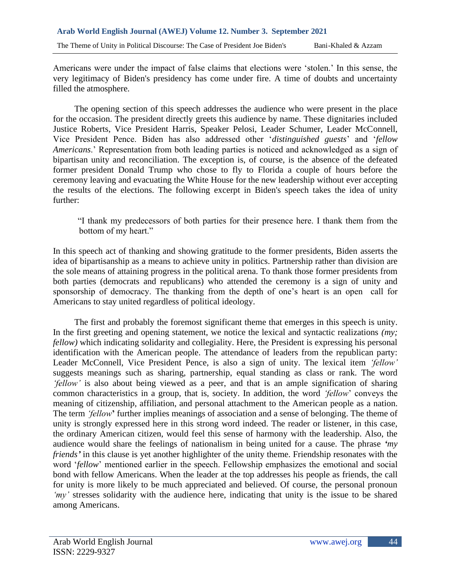Americans were under the impact of false claims that elections were 'stolen.' In this sense, the very legitimacy of Biden's presidency has come under fire. A time of doubts and uncertainty filled the atmosphere.

The opening section of this speech addresses the audience who were present in the place for the occasion. The president directly greets this audience by name. These dignitaries included Justice Roberts, Vice President Harris, Speaker Pelosi, Leader Schumer, Leader McConnell, Vice President Pence. Biden has also addressed other '*distinguished guests*' and '*fellow Americans*.' Representation from both leading parties is noticed and acknowledged as a sign of bipartisan unity and reconciliation. The exception is, of course, is the absence of the defeated former president Donald Trump who chose to fly to Florida a couple of hours before the ceremony leaving and evacuating the White House for the new leadership without ever accepting the results of the elections. The following excerpt in Biden's speech takes the idea of unity further:

"I thank my predecessors of both parties for their presence here. I thank them from the bottom of my heart."

In this speech act of thanking and showing gratitude to the former presidents, Biden asserts the idea of bipartisanship as a means to achieve unity in politics. Partnership rather than division are the sole means of attaining progress in the political arena. To thank those former presidents from both parties (democrats and republicans) who attended the ceremony is a sign of unity and sponsorship of democracy. The thanking from the depth of one's heart is an open call for Americans to stay united regardless of political ideology.

The first and probably the foremost significant theme that emerges in this speech is unity. In the first greeting and opening statement, we notice the lexical and syntactic realizations *(my; fellow)* which indicating solidarity and collegiality. Here, the President is expressing his personal identification with the American people. The attendance of leaders from the republican party: Leader McConnell, Vice President Pence, is also a sign of unity. The lexical item *'fellow'* suggests meanings such as sharing, partnership, equal standing as class or rank. The word *'fellow'* is also about being viewed as a peer, and that is an ample signification of sharing common characteristics in a group, that is, society. In addition, the word *'fellow*' conveys the meaning of citizenship, affiliation, and personal attachment to the American people as a nation. The term *'fellow***'** further implies meanings of association and a sense of belonging. The theme of unity is strongly expressed here in this strong word indeed. The reader or listener, in this case, the ordinary American citizen, would feel this sense of harmony with the leadership. Also, the audience would share the feelings of nationalism in being united for a cause. The phrase *'my friends'* in this clause is yet another highlighter of the unity theme. Friendship resonates with the word '*fellow*' mentioned earlier in the speech. Fellowship emphasizes the emotional and social bond with fellow Americans. When the leader at the top addresses his people as friends, the call for unity is more likely to be much appreciated and believed. Of course, the personal pronoun *'my'* stresses solidarity with the audience here, indicating that unity is the issue to be shared among Americans.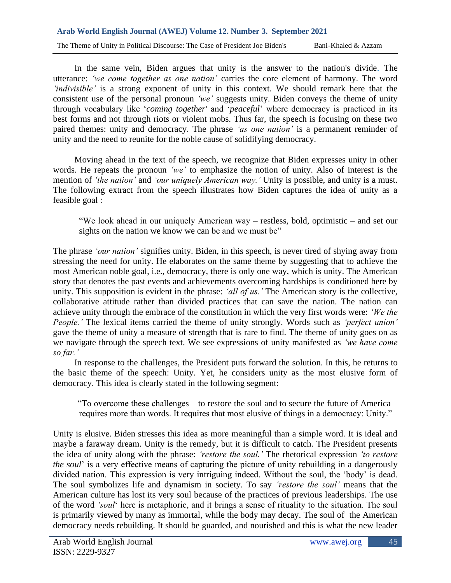#### **Arab World English Journal (AWEJ) Volume 12. Number 3. September 2021**

The Theme of Unity in Political Discourse: The Case of President Joe Biden's Bani-Khaled & Azzam

In the same vein, Biden argues that unity is the answer to the nation's divide. The utterance: *'we come together as one nation'* carries the core element of harmony. The word *'indivisible'* is a strong exponent of unity in this context. We should remark here that the consistent use of the personal pronoun *'we'* suggests unity. Biden conveys the theme of unity through vocabulary like '*coming together'* and '*peaceful*' where democracy is practiced in its best forms and not through riots or violent mobs. Thus far, the speech is focusing on these two paired themes: unity and democracy. The phrase *'as one nation'* is a permanent reminder of unity and the need to reunite for the noble cause of solidifying democracy.

Moving ahead in the text of the speech, we recognize that Biden expresses unity in other words. He repeats the pronoun *'we'* to emphasize the notion of unity. Also of interest is the mention of *'the nation'* and *'our uniquely American way.'* Unity is possible, and unity is a must. The following extract from the speech illustrates how Biden captures the idea of unity as a feasible goal :

"We look ahead in our uniquely American way – restless, bold, optimistic – and set our sights on the nation we know we can be and we must be"

The phrase *'our nation'* signifies unity. Biden, in this speech, is never tired of shying away from stressing the need for unity. He elaborates on the same theme by suggesting that to achieve the most American noble goal, i.e., democracy, there is only one way, which is unity. The American story that denotes the past events and achievements overcoming hardships is conditioned here by unity. This supposition is evident in the phrase: *'all of us.'* The American story is the collective, collaborative attitude rather than divided practices that can save the nation. The nation can achieve unity through the embrace of the constitution in which the very first words were: *'We the People.'* The lexical items carried the theme of unity strongly. Words such as *'perfect union'* gave the theme of unity a measure of strength that is rare to find. The theme of unity goes on as we navigate through the speech text. We see expressions of unity manifested as *'we have come so far.'*

In response to the challenges, the President puts forward the solution. In this, he returns to the basic theme of the speech: Unity. Yet, he considers unity as the most elusive form of democracy. This idea is clearly stated in the following segment:

"To overcome these challenges – to restore the soul and to secure the future of America – requires more than words. It requires that most elusive of things in a democracy: Unity."

Unity is elusive. Biden stresses this idea as more meaningful than a simple word. It is ideal and maybe a faraway dream. Unity is the remedy, but it is difficult to catch. The President presents the idea of unity along with the phrase: *'restore the soul.'* The rhetorical expression *'to restore the soul*' is a very effective means of capturing the picture of unity rebuilding in a dangerously divided nation. This expression is very intriguing indeed. Without the soul, the 'body' is dead. The soul symbolizes life and dynamism in society. To say *'restore the soul'* means that the American culture has lost its very soul because of the practices of previous leaderships. The use of the word *'soul*' here is metaphoric, and it brings a sense of rituality to the situation. The soul is primarily viewed by many as immortal, while the body may decay. The soul of the American democracy needs rebuilding. It should be guarded, and nourished and this is what the new leader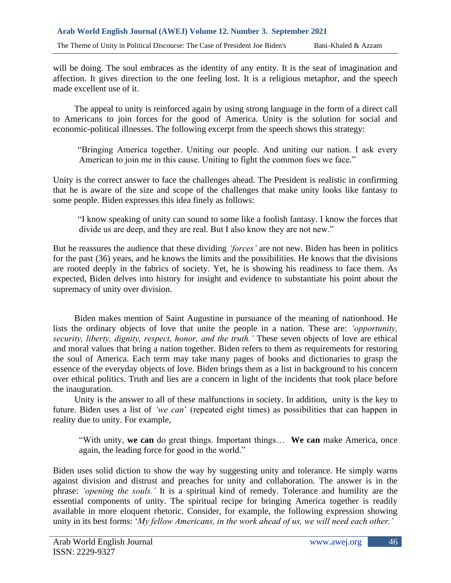will be doing. The soul embraces as the identity of any entity. It is the seat of imagination and affection. It gives direction to the one feeling lost. It is a religious metaphor, and the speech made excellent use of it.

The appeal to unity is reinforced again by using strong language in the form of a direct call to Americans to join forces for the good of America. Unity is the solution for social and economic-political illnesses. The following excerpt from the speech shows this strategy:

"Bringing America together. Uniting our people. And uniting our nation. I ask every American to join me in this cause. Uniting to fight the common foes we face."

Unity is the correct answer to face the challenges ahead. The President is realistic in confirming that he is aware of the size and scope of the challenges that make unity looks like fantasy to some people. Biden expresses this idea finely as follows:

"I know speaking of unity can sound to some like a foolish fantasy. I know the forces that divide us are deep, and they are real. But I also know they are not new."

But he reassures the audience that these dividing *'forces'* are not new. Biden has been in politics for the past (36) years, and he knows the limits and the possibilities. He knows that the divisions are rooted deeply in the fabrics of society. Yet, he is showing his readiness to face them. As expected, Biden delves into history for insight and evidence to substantiate his point about the supremacy of unity over division.

Biden makes mention of Saint Augustine in pursuance of the meaning of nationhood. He lists the ordinary objects of love that unite the people in a nation. These are: *'opportunity, security, liberty, dignity, respect, honor, and the truth.'* These seven objects of love are ethical and moral values that bring a nation together. Biden refers to them as requirements for restoring the soul of America. Each term may take many pages of books and dictionaries to grasp the essence of the everyday objects of love. Biden brings them as a list in background to his concern over ethical politics. Truth and lies are a concern in light of the incidents that took place before the inauguration.

Unity is the answer to all of these malfunctions in society. In addition, unity is the key to future. Biden uses a list of *'we can*' (repeated eight times) as possibilities that can happen in reality due to unity. For example,

"With unity, **we can** do great things. Important things… **We can** make America, once again, the leading force for good in the world."

Biden uses solid diction to show the way by suggesting unity and tolerance. He simply warns against division and distrust and preaches for unity and collaboration. The answer is in the phrase: *'opening the souls.'* It is a spiritual kind of remedy. Tolerance and humility are the essential components of unity. The spiritual recipe for bringing America together is readily available in more eloquent rhetoric. Consider, for example, the following expression showing unity in its best forms: '*My fellow Americans, in the work ahead of us, we will need each other.'*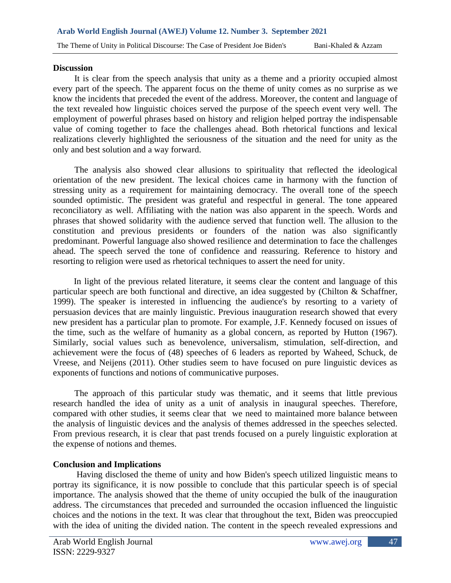#### **Discussion**

It is clear from the speech analysis that unity as a theme and a priority occupied almost every part of the speech. The apparent focus on the theme of unity comes as no surprise as we know the incidents that preceded the event of the address. Moreover, the content and language of the text revealed how linguistic choices served the purpose of the speech event very well. The employment of powerful phrases based on history and religion helped portray the indispensable value of coming together to face the challenges ahead. Both rhetorical functions and lexical realizations cleverly highlighted the seriousness of the situation and the need for unity as the only and best solution and a way forward.

The analysis also showed clear allusions to spirituality that reflected the ideological orientation of the new president. The lexical choices came in harmony with the function of stressing unity as a requirement for maintaining democracy. The overall tone of the speech sounded optimistic. The president was grateful and respectful in general. The tone appeared reconciliatory as well. Affiliating with the nation was also apparent in the speech. Words and phrases that showed solidarity with the audience served that function well. The allusion to the constitution and previous presidents or founders of the nation was also significantly predominant. Powerful language also showed resilience and determination to face the challenges ahead. The speech served the tone of confidence and reassuring. Reference to history and resorting to religion were used as rhetorical techniques to assert the need for unity.

In light of the previous related literature, it seems clear the content and language of this particular speech are both functional and directive, an idea suggested by (Chilton & Schaffner, 1999). The speaker is interested in influencing the audience's by resorting to a variety of persuasion devices that are mainly linguistic. Previous inauguration research showed that every new president has a particular plan to promote. For example, J.F. Kennedy focused on issues of the time, such as the welfare of humanity as a global concern, as reported by Hutton (1967). Similarly, social values such as benevolence, universalism, stimulation, self-direction, and achievement were the focus of (48) speeches of 6 leaders as reported by Waheed, Schuck, de Vreese, and Neijens (2011). Other studies seem to have focused on pure linguistic devices as exponents of functions and notions of communicative purposes.

The approach of this particular study was thematic, and it seems that little previous research handled the idea of unity as a unit of analysis in inaugural speeches. Therefore, compared with other studies, it seems clear that we need to maintained more balance between the analysis of linguistic devices and the analysis of themes addressed in the speeches selected. From previous research, it is clear that past trends focused on a purely linguistic exploration at the expense of notions and themes.

#### **Conclusion and Implications**

Having disclosed the theme of unity and how Biden's speech utilized linguistic means to portray its significance, it is now possible to conclude that this particular speech is of special importance. The analysis showed that the theme of unity occupied the bulk of the inauguration address. The circumstances that preceded and surrounded the occasion influenced the linguistic choices and the notions in the text. It was clear that throughout the text, Biden was preoccupied with the idea of uniting the divided nation. The content in the speech revealed expressions and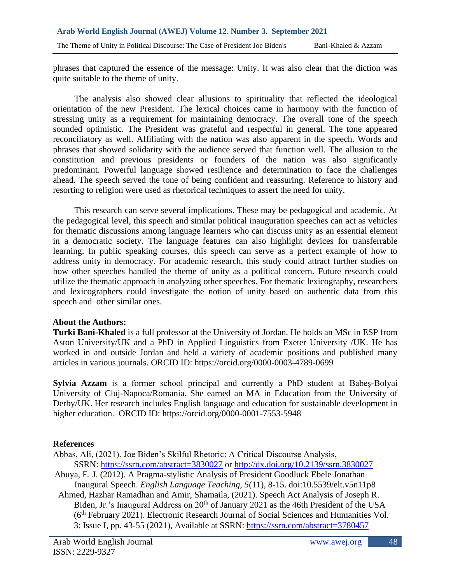phrases that captured the essence of the message: Unity. It was also clear that the diction was quite suitable to the theme of unity.

The analysis also showed clear allusions to spirituality that reflected the ideological orientation of the new President. The lexical choices came in harmony with the function of stressing unity as a requirement for maintaining democracy. The overall tone of the speech sounded optimistic. The President was grateful and respectful in general. The tone appeared reconciliatory as well. Affiliating with the nation was also apparent in the speech. Words and phrases that showed solidarity with the audience served that function well. The allusion to the constitution and previous presidents or founders of the nation was also significantly predominant. Powerful language showed resilience and determination to face the challenges ahead. The speech served the tone of being confident and reassuring. Reference to history and resorting to religion were used as rhetorical techniques to assert the need for unity.

This research can serve several implications. These may be pedagogical and academic. At the pedagogical level, this speech and similar political inauguration speeches can act as vehicles for thematic discussions among language learners who can discuss unity as an essential element in a democratic society. The language features can also highlight devices for transferrable learning. In public speaking courses, this speech can serve as a perfect example of how to address unity in democracy. For academic research, this study could attract further studies on how other speeches handled the theme of unity as a political concern. Future research could utilize the thematic approach in analyzing other speeches. For thematic lexicography, researchers and lexicographers could investigate the notion of unity based on authentic data from this speech and other similar ones.

## **About the Authors:**

**Turki Bani-Khaled** is a full professor at the University of Jordan. He holds an MSc in ESP from Aston University/UK and a PhD in Applied Linguistics from Exeter University /UK. He has worked in and outside Jordan and held a variety of academic positions and published many articles in various journals. ORCID ID: https://orcid.org/0000-0003-4789-0699

**Sylvia Azzam** is a former school principal and currently a PhD student at Babeş-Bolyai University of Cluj-Napoca/Romania. She earned an MA in Education from the University of Derby/UK. Her research includes English language and education for sustainable development in higher education. ORCID ID: https://orcid.org/0000-0001-7553-5948

# **References**

- Abbas, Ali, (2021). Joe Biden's Skilful Rhetoric: A Critical Discourse Analysis, SSRN: <https://ssrn.com/abstract=3830027> or [http://dx.doi.org/10.2139/ssrn.3830027](https://dx.doi.org/10.2139/ssrn.3830027)
- Abuya, E. J. (2012). A Pragma-stylistic Analysis of President Goodluck Ebele Jonathan Inaugural Speech. *English Language Teaching, 5*(11), 8-15. doi:10.5539/elt.v5n11p8
- Ahmed, Hazhar Ramadhan and Amir, Shamaila, (2021). Speech Act Analysis of Joseph R. Biden, Jr.'s Inaugural Address on 20<sup>th</sup> of January 2021 as the 46th President of the USA (6th February 2021). Electronic Research Journal of Social Sciences and Humanities Vol. 3: Issue I, pp. 43-55 (2021), Available at SSRN: <https://ssrn.com/abstract=3780457>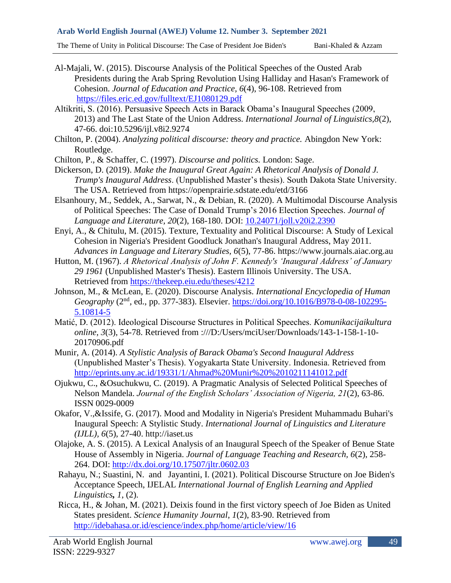#### **Arab World English Journal (AWEJ) Volume 12. Number 3. September 2021**

The Theme of Unity in Political Discourse: The Case of President Joe Biden's Bani-Khaled & Azzam

- 
- Al-Majali, W. (2015). Discourse Analysis of the Political Speeches of the Ousted Arab Presidents during the Arab Spring Revolution Using Halliday and Hasan's Framework of Cohesion. *Journal of Education and Practice, 6*(4), 96-108. Retrieved from <https://files.eric.ed.gov/fulltext/EJ1080129.pdf>
- Altikriti, S. (2016). Persuasive Speech Acts in Barack Obama's Inaugural Speeches (2009, 2013) and The Last State of the Union Address. *International Journal of Linguistics,8*(2), 47-66. doi:10.5296/ijl.v8i2.9274
- Chilton, P. (2004). *Analyzing political discourse: theory and practice.* Abingdon New York: Routledge.
- Chilton, P., & Schaffer, C. (1997). *Discourse and politics.* London: Sage.
- Dickerson, D. (2019). *Make the Inaugural Great Again: A Rhetorical Analysis of Donald J. Trump's Inaugural Address*. (Unpublished Master's thesis). South Dakota State University. The USA. Retrieved from https://openprairie.sdstate.edu/etd/3166
- Elsanhoury, M., Seddek, A., Sarwat, N., & Debian, R. (2020). A Multimodal Discourse Analysis of Political Speeches: The Case of Donald Trump's 2016 Election Speeches. *Journal of Language and Literature, 20*(2), 168-180. DOI: [10.24071/joll.v20i2.2390](https://www.researchgate.net/deref/http%3A%2F%2Fdx.doi.org%2F10.24071%2Fjoll.v20i2.2390)
- Enyi, A., & Chitulu, M. (2015). Texture, Textuality and Political Discourse: A Study of Lexical Cohesion in Nigeria's President Goodluck Jonathan's Inaugural Address, May 2011. *Advances in Language and Literary Studies, 6*(5), 77-86. https://www.journals.aiac.org.au
- Hutton, M. (1967). *A Rhetorical Analysis of John F. Kennedy's 'Inaugural Address' of January 29 1961* (Unpublished Master's Thesis). Eastern Illinois University. The USA. Retrieved from<https://thekeep.eiu.edu/theses/4212>
- Johnson, M., & McLean, E. (2020). Discourse Analysis. *International Encyclopedia of Human Geography* (2nd, ed., pp. 377-383). Elsevier. [https://doi.org/10.1016/B978-0-08-102295-](https://doi.org/10.1016/B978-0-08-102295-5.10814-5) [5.10814-5](https://doi.org/10.1016/B978-0-08-102295-5.10814-5)
- Matić, D. (2012). Ideological Discourse Structures in Political Speeches. *Komunikacijaikultura online, 3*(3), 54-78. Retrieved from :///D:/Users/mciUser/Downloads/143-1-158-1-10- 20170906.pdf
- Munir, A. (2014). *A Stylistic Analysis of Barack Obama's Second Inaugural Address*  (Unpublished Master's Thesis). Yogyakarta State University. Indonesia. Retrieved from <http://eprints.uny.ac.id/19331/1/Ahmad%20Munir%20%2010211141012.pdf>
- Ojukwu, C., &Osuchukwu, C. (2019). A Pragmatic Analysis of Selected Political Speeches of Nelson Mandela. *Journal of the English Scholars' Association of Nigeria, 21*(2), 63-86. ISSN 0029-0009
- Okafor, V.,&Issife, G. (2017). Mood and Modality in Nigeria's President Muhammadu Buhari's Inaugural Speech: A Stylistic Study. *International Journal of Linguistics and Literature (IJLL), 6*(5), 27-40. http://iaset.us
- Olajoke, A. S. (2015). A Lexical Analysis of an Inaugural Speech of the Speaker of Benue State House of Assembly in Nigeria. *Journal of Language Teaching and Research, 6*(2), 258- 264. DOI:<http://dx.doi.org/10.17507/jltr.0602.03>
- Rahayu, N.; Suastini, N. and Jayantini, I. (2021). Political Discourse Structure on Joe Biden's Acceptance Speech, IJELAL *International Journal of English Learning and Applied Linguistics, 1*, (2).
- Ricca, H., & Johan, M. (2021). Deixis found in the first victory speech of Joe Biden as United States president. *Science Humanity Journal*, *1*(2), 83-90. Retrieved from <http://idebahasa.or.id/escience/index.php/home/article/view/16>